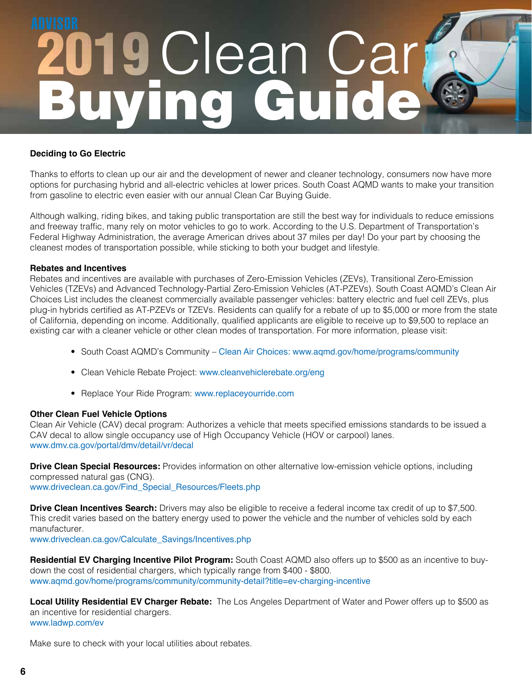# Buying Guide<sup>Y</sup> 2019 Clean Car

### **Deciding to Go Electric**

Thanks to efforts to clean up our air and the development of newer and cleaner technology, consumers now have more options for purchasing hybrid and all-electric vehicles at lower prices. South Coast AQMD wants to make your transition from gasoline to electric even easier with our annual Clean Car Buying Guide.

Although walking, riding bikes, and taking public transportation are still the best way for individuals to reduce emissions and freeway traffic, many rely on motor vehicles to go to work. According to the U.S. Department of Transportation's Federal Highway Administration, the average American drives about 37 miles per day! Do your part by choosing the cleanest modes of transportation possible, while sticking to both your budget and lifestyle.

#### **Rebates and Incentives**

Rebates and incentives are available with purchases of Zero-Emission Vehicles (ZEVs), Transitional Zero-Emission Vehicles (TZEVs) and Advanced Technology-Partial Zero-Emission Vehicles (AT-PZEVs). South Coast AQMD's Clean Air Choices List includes the cleanest commercially available passenger vehicles: battery electric and fuel cell ZEVs, plus plug-in hybrids certified as AT-PZEVs or TZEVs. Residents can qualify for a rebate of up to \$5,000 or more from the state of California, depending on income. Additionally, qualified applicants are eligible to receive up to \$9,500 to replace an existing car with a cleaner vehicle or other clean modes of transportation. For more information, please visit:

- South Coast AQMD's Community Clean Air Choices: www.aqmd.gov/home/programs/community
- Clean Vehicle Rebate Project: www.cleanvehiclerebate.org/eng
- Replace Your Ride Program: www.replaceyourride.com

#### **Other Clean Fuel Vehicle Options**

Clean Air Vehicle (CAV) decal program: Authorizes a vehicle that meets specified emissions standards to be issued a CAV decal to allow single occupancy use of High Occupancy Vehicle (HOV or carpool) lanes. www.dmv.ca.gov/portal/dmv/detail/vr/decal

**Drive Clean Special Resources:** Provides information on other alternative low-emission vehicle options, including compressed natural gas (CNG). www.driveclean.ca.gov/Find\_Special\_Resources/Fleets.php

**Drive Clean Incentives Search:** Drivers may also be eligible to receive a federal income tax credit of up to \$7,500. This credit varies based on the battery energy used to power the vehicle and the number of vehicles sold by each manufacturer.

www.driveclean.ca.gov/Calculate\_Savings/Incentives.php

**Residential EV Charging Incentive Pilot Program:** South Coast AQMD also offers up to \$500 as an incentive to buydown the cost of residential chargers, which typically range from \$400 - \$800. www.aqmd.gov/home/programs/community/community-detail?title=ev-charging-incentive

**Local Utility Residential EV Charger Rebate:** The Los Angeles Department of Water and Power offers up to \$500 as an incentive for residential chargers. www.ladwp.com/ev

Make sure to check with your local utilities about rebates.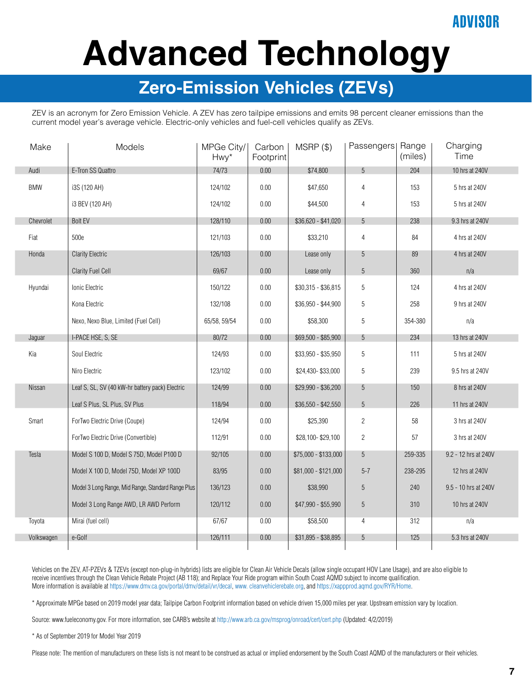### ANVISOR

# **Advanced Technology**

### **Zero-Emission Vehicles (ZEVs)**

ZEV is an acronym for Zero Emission Vehicle. A ZEV has zero tailpipe emissions and emits 98 percent cleaner emissions than the current model year's average vehicle. Electric-only vehicles and fuel-cell vehicles qualify as ZEVs.

| Make       | Models                                             | MPGe City/<br>Hwy* | Carbon<br>Footprint | $MSRP$ $(\$)$        | Passengers  Range | (miles) | Charging<br>Time     |  |
|------------|----------------------------------------------------|--------------------|---------------------|----------------------|-------------------|---------|----------------------|--|
| Audi       | E-Tron SS Quattro                                  | 74/73              | 0.00                | \$74,800             | $5\,$             | 204     | 10 hrs at 240V       |  |
| <b>BMW</b> | i3S (120 AH)                                       | 124/102            | 0.00                | \$47,650             | $\overline{4}$    | 153     | 5 hrs at 240V        |  |
|            | i3 BEV (120 AH)                                    | 124/102            | 0.00                | \$44,500             | $\overline{4}$    | 153     | 5 hrs at 240V        |  |
| Chevrolet  | <b>Bolt EV</b>                                     | 128/110            | 0.00                | $$36,620 - $41,020$  | 5                 | 238     | 9.3 hrs at 240V      |  |
| Fiat       | 500e                                               | 121/103            | $0.00\,$            | \$33,210             | $\overline{4}$    | 84      | 4 hrs at 240V        |  |
| Honda      | <b>Clarity Electric</b>                            | 126/103            | 0.00                | Lease only           | 5                 | 89      | 4 hrs at 240V        |  |
|            | <b>Clarity Fuel Cell</b>                           | 69/67              | $0.00\,$            | Lease only           | $\sqrt{5}$        | 360     | n/a                  |  |
| Hyundai    | Ionic Electric                                     | 150/122            | 0.00                | $$30,315 - $36,815$  | 5                 | 124     | 4 hrs at 240V        |  |
|            | Kona Electric                                      | 132/108            | 0.00                | \$36,950 - \$44,900  | 5                 | 258     | 9 hrs at 240V        |  |
|            | Nexo, Nexo Blue, Limited (Fuel Cell)               | 65/58, 59/54       | 0.00                | \$58,300             | 5                 | 354-380 | n/a                  |  |
| Jaguar     | I-PACE HSE, S, SE                                  | 80/72              | 0.00                | $$69,500 - $85,900$  | 5                 | 234     | 13 hrs at 240V       |  |
| Kia        | Soul Electric                                      | 124/93             | $0.00\,$            | \$33,950 - \$35,950  | 5                 | 111     | 5 hrs at 240V        |  |
|            | Niro Electric                                      | 123/102            | 0.00                | \$24,430-\$33,000    | 5                 | 239     | 9.5 hrs at 240V      |  |
| Nissan     | Leaf S, SL, SV (40 kW-hr battery pack) Electric    | 124/99             | 0.00                | \$29,990 - \$36,200  | 5                 | 150     | 8 hrs at 240V        |  |
|            | Leaf S Plus, SL Plus, SV Plus                      | 118/94             | 0.00                | $$36,550 - $42,550$  | 5                 | 226     | 11 hrs at 240V       |  |
| Smart      | ForTwo Electric Drive (Coupe)                      | 124/94             | 0.00                | \$25,390             | $\overline{2}$    | 58      | 3 hrs at 240V        |  |
|            | ForTwo Electric Drive (Convertible)                | 112/91             | 0.00                | \$28,100-\$29,100    | $\overline{2}$    | 57      | 3 hrs at 240V        |  |
| Tesla      | Model S 100 D, Model S 75D, Model P100 D           | 92/105             | $0.00\,$            | \$75,000 - \$133,000 | 5                 | 259-335 | 9.2 - 12 hrs at 240V |  |
|            | Model X 100 D, Model 75D, Model XP 100D            | 83/95              | 0.00                | \$81,000 - \$121,000 | $5 - 7$           | 238-295 | 12 hrs at 240V       |  |
|            | Model 3 Long Range, Mid Range, Standard Range Plus | 136/123            | 0.00                | \$38,990             | 5                 | 240     | 9.5 - 10 hrs at 240V |  |
|            | Model 3 Long Range AWD, LR AWD Perform             | 120/112            | 0.00                | $$47,990 - $55,990$  | $\sqrt{5}$        | 310     | 10 hrs at 240V       |  |
| Toyota     | Mirai (fuel cell)                                  | 67/67              | 0.00                | \$58,500             | $\overline{4}$    | 312     | n/a                  |  |
| Volkswagen | e-Golf                                             | 126/111            | 0.00                | $$31,895 - $38,895$  | $\sqrt{5}$        | 125     | 5.3 hrs at 240V      |  |

Vehicles on the ZEV, AT-PZEVs & TZEVs (except non-plug-in hybrids) lists are eligible for Clean Air Vehicle Decals (allow single occupant HOV Lane Usage), and are also eligible to receive incentives through the Clean Vehicle Rebate Project (AB 118); and Replace Your Ride program within South Coast AQMD subject to income qualification. More information is available at https://www.dmv.ca.gov/portal/dmv/detail/vr/decal, www. cleanvehiclerebate.org, and https://xappprod.aqmd.gov/RYR/Home.

\* Approximate MPGe based on 2019 model year data; Tailpipe Carbon Footprint information based on vehicle driven 15,000 miles per year. Upstream emission vary by location.

Source: www.fueleconomy.gov. For more information, see CARB's website at http://www.arb.ca.gov/msprog/onroad/cert/cert.php (Updated: 4/2/2019)

\* As of September 2019 for Model Year 2019

Please note: The mention of manufacturers on these lists is not meant to be construed as actual or implied endorsement by the South Coast AQMD of the manufacturers or their vehicles.